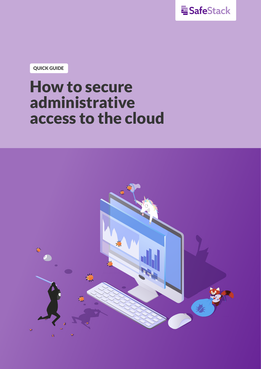

**QUICK GUIDE**

# **How to secure administrative access to the cloud**

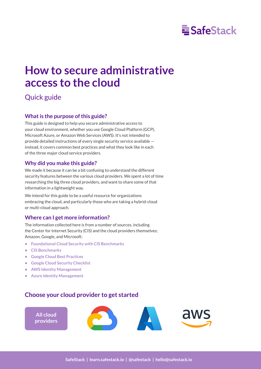## **E** SafeStack

## **How to secure administrative access to the cloud**

#### Quick guide

#### **What is the purpose of this guide?**

This guide is designed to help you secure administrative access to your cloud environment, whether you use Google Cloud Platform (GCP), Microsoft Azure, or Amazon Web Services (AWS). It's not intended to provide detailed instructions of every single security service available instead, it covers common best practices and what they look like in each of the three major cloud service providers.

#### **Why did you make this guide?**

We made it because it can be a bit confusing to understand the different security features between the various cloud providers. We spent a lot of time researching the big three cloud providers, and want to share some of that information in a lightweight way.

We intend for this guide to be a useful resource for organizations embracing the cloud, and particularly those who are taking a hybrid-cloud or multi-cloud approach.

#### **Where can I get more information?**

The information collected here is from a number of sources, including the Center for Internet Security (CIS) and the cloud providers themselves; Amazon, Google, and Microsoft.

- **• [Foundational Cloud Security with CIS Benchmarks](https://www.cisecurity.org/insights/blog/foundational-cloud-security-with-cis-benchmarks)**
- **• [CIS Benchmarks](https://www.cisecurity.org/cis-benchmarks/)**
- **• [Google Cloud Best Practices](https://cloud.google.com/security/best-practices)**
- **• [Google Cloud Security Checklist](https://support.google.com/a/answer/9184226?ref_topic=7559287)**
- **• [AWS Identity Management](https://docs.aws.amazon.com/wellarchitected/latest/security-pillar/identity-management.html)**
- **• [Azure Identity Management](https://docs.microsoft.com/en-us/azure/security/fundamentals/identity-management-best-practices)**

#### **Choose your cloud provider to get started**

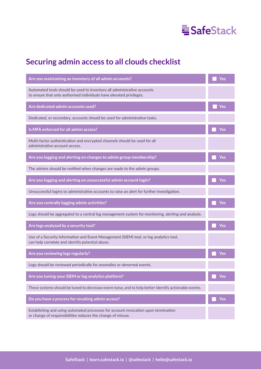

### <span id="page-2-0"></span>**Securing admin access to all clouds checklist**

| Are you maintaining an inventory of all admin accounts?                                                                                           | Yes |
|---------------------------------------------------------------------------------------------------------------------------------------------------|-----|
| Automated tools should be used to inventory all administrative accounts<br>to ensure that only authorised individuals have elevated privileges.   |     |
| Are dedicated admin accounts used?                                                                                                                | Yes |
| Dedicated, or secondary, accounts should be used for administrative tasks.                                                                        |     |
| Is MFA enforced for all admin access?                                                                                                             | Yes |
| Multi-factor authentication and encrypted channels should be used for all<br>administrative account access.                                       |     |
| Are you logging and alerting on changes to admin group membership?                                                                                | Yes |
| The admins should be notified when changes are made to the admin groups.                                                                          |     |
| Are you logging and alerting on unsuccessful admin account login?                                                                                 | Yes |
| Unsuccessful logins to administrative accounts to raise an alert for further investigation.                                                       |     |
| Are you centrally logging admin activities?                                                                                                       | Yes |
| Logs should be aggregated to a central log management system for monitoring, alerting and analysis.                                               |     |
| Are logs analysed by a security tool?                                                                                                             | Yes |
| Use of a Security Information and Event Management (SIEM) tool, or log analytics tool,<br>can help correlate and identify potential abuse.        |     |
| Are you reviewing logs regularly?                                                                                                                 | Yes |
| Logs should be reviewed periodically for anomalies or abnormal events.                                                                            |     |
| Are you tuning your SIEM or log analytics platform?                                                                                               | Yes |
| These systems should be tuned to decrease event noise, and to help better identify actionable events.                                             |     |
| Do you have a process for revoking admin access?                                                                                                  | Yes |
| Establishing and using automated processes for account revocation upon termination<br>or change of responsibilities reduces the change of misuse. |     |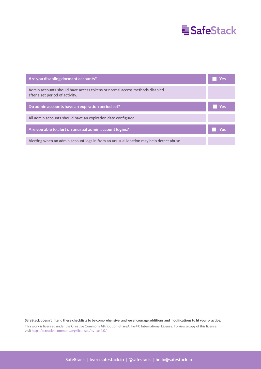## **E**SafeStack

| Are you disabling dormant accounts?                                                                           | Yes |
|---------------------------------------------------------------------------------------------------------------|-----|
| Admin accounts should have access tokens or normal access methods disabled<br>after a set period of activity. |     |
| Do admin accounts have an expiration period set?                                                              | Yes |
| All admin accounts should have an expiration date configured.                                                 |     |
| Are you able to alert on unusual admin account logins?                                                        | Yes |
| Alerting when an admin account logs in from an unusual location may help detect abuse.                        |     |

**SafeStack doesn't intend these checklists to be comprehensive, and we encourage additions and modifications to fit your practice.**

This work is licensed under the Creative Commons Attribution-ShareAlike 4.0 International License. To view a copy of this license, visit https://creativecommons.org/licenses/by-sa/4.0/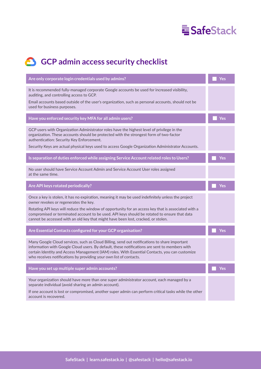

### **GCP** admin access security checklist

| Are only corporate login credentials used by admins?                                                                                                                                                                                                                                                                                                                                                                                    | Yes |
|-----------------------------------------------------------------------------------------------------------------------------------------------------------------------------------------------------------------------------------------------------------------------------------------------------------------------------------------------------------------------------------------------------------------------------------------|-----|
| It is recommended fully-managed corporate Google accounts be used for increased visibility,<br>auditing, and controlling access to GCP.<br>Email accounts based outside of the user's organization, such as personal accounts, should not be<br>used for business purposes.                                                                                                                                                             |     |
| Have you enforced security key MFA for all admin users?                                                                                                                                                                                                                                                                                                                                                                                 | Yes |
| GCP users with Organization Administrator roles have the highest level of privilege in the<br>organization. These accounts should be protected with the strongest form of two-factor<br>authentication: Security Key Enforcement.<br>Security Keys are actual physical keys used to access Google Organization Administrator Accounts.                                                                                                  |     |
| Is separation of duties enforced while assigning Service Account related roles to Users?                                                                                                                                                                                                                                                                                                                                                | Yes |
| No user should have Service Account Admin and Service Account User roles assigned<br>at the same time.                                                                                                                                                                                                                                                                                                                                  |     |
| Are API keys rotated periodically?                                                                                                                                                                                                                                                                                                                                                                                                      | Yes |
| Once a key is stolen, it has no expiration, meaning it may be used indefinitely unless the project<br>owner revokes or regenerates the key.<br>Rotating API keys will reduce the window of opportunity for an access key that is associated with a<br>compromised or terminated account to be used. API keys should be rotated to ensure that data<br>cannot be accessed with an old key that might have been lost, cracked, or stolen. |     |
| Are Essential Contacts configured for your GCP organisation?                                                                                                                                                                                                                                                                                                                                                                            | Yes |
| Many Google Cloud services, such as Cloud Billing, send out notifications to share important<br>information with Google Cloud users. By default, these notifications are sent to members with<br>certain Identity and Access Management (IAM) roles. With Essential Contacts, you can customize<br>who receives notifications by providing your own list of contacts.                                                                   |     |
| Have you set up multiple super admin accounts?                                                                                                                                                                                                                                                                                                                                                                                          | Yes |
| Your organization should have more than one super administrator account, each managed by a<br>separate individual (avoid sharing an admin account).<br>If one account is lost or compromised, another super admin can perform critical tasks while the other<br>account is recovered.                                                                                                                                                   |     |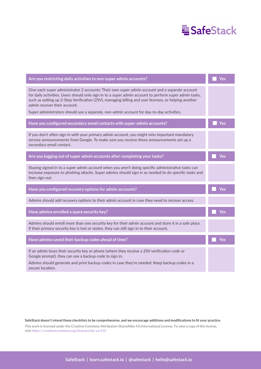## **E**SafeStack

| Are you restricting daily activities to non-super admin accounts?                                                                                                                                                                                                                                                                                                                                                                            | Yes |
|----------------------------------------------------------------------------------------------------------------------------------------------------------------------------------------------------------------------------------------------------------------------------------------------------------------------------------------------------------------------------------------------------------------------------------------------|-----|
| Give each super administrator 2 accounts: Their own super admin account and a separate account<br>for daily activities. Users should only sign in to a super admin account to perform super admin tasks,<br>such as setting up 2-Step Verification (2SV), managing billing and user licenses, or helping another<br>admin recover their account.<br>Super administrators should use a separate, non-admin account for day-to-day activities. |     |
| Have you configured secondary email contacts with super-admin accounts?                                                                                                                                                                                                                                                                                                                                                                      | Yes |
| If you don't often sign in with your primary admin account, you might miss important mandatory<br>service announcements from Google. To make sure you receive these announcements set up a<br>secondary email contact.                                                                                                                                                                                                                       |     |
| Are you logging out of super admin accounts after completing your tasks?                                                                                                                                                                                                                                                                                                                                                                     | Yes |
| Staying signed in to a super admin account when you aren't doing specific administrative tasks can<br>increase exposure to phishing attacks. Super admins should sign in as needed to do specific tasks and<br>then sign out.                                                                                                                                                                                                                |     |
| Have you configured recovery options for admin accounts?                                                                                                                                                                                                                                                                                                                                                                                     | Yes |
| Admins should add recovery options to their admin account in case they need to recover access.                                                                                                                                                                                                                                                                                                                                               |     |
| Have admins enrolled a spare security key?                                                                                                                                                                                                                                                                                                                                                                                                   | Yes |
| Admins should enroll more than one security key for their admin account and store it in a safe place.<br>If their primary security key is lost or stolen, they can still sign in to their account.                                                                                                                                                                                                                                           |     |
| Have admins saved their backup codes ahead of time?                                                                                                                                                                                                                                                                                                                                                                                          | Yes |
| If an admin loses their security key or phone (where they receive a 2SV verification code or<br>Google prompt), they can use a backup code to sign in.<br>Admins should generate and print backup codes in case they're needed. Keep backup codes in a<br>secure location.                                                                                                                                                                   |     |

**SafeStack doesn't intend these checklists to be comprehensive, and we encourage additions and modifications to fit your practice.**

This work is licensed under the Creative Commons Attribution-ShareAlike 4.0 International License. To view a copy of this license, visit https://creativecommons.org/licenses/by-sa/4.0/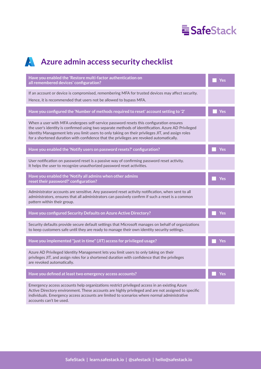

### A**zure admin access security checklist**

| Have you enabled the 'Restore multi-factor authentication on<br>all remembered devices' configuration?                                                                                                                                                                                                                                                                                       | Yes |
|----------------------------------------------------------------------------------------------------------------------------------------------------------------------------------------------------------------------------------------------------------------------------------------------------------------------------------------------------------------------------------------------|-----|
| If an account or device is compromised, remembering MFA for trusted devices may affect security.<br>Hence, it is recommended that users not be allowed to bypass MFA.                                                                                                                                                                                                                        |     |
| Have you configured the 'Number of methods required to reset' account setting to '2'                                                                                                                                                                                                                                                                                                         | Yes |
| When a user with MFA undergoes self-service password resets this configuration ensures<br>the user's identity is confirmed using two separate methods of identification. Azure AD Privileged<br>Identity Management lets you limit users to only taking on their privileges JIT, and assign roles<br>for a shortened duration with confidence that the privileges are revoked automatically. |     |
| Have you enabled the 'Notify users on password resets?' configuration?                                                                                                                                                                                                                                                                                                                       | Yes |
| User notification on password reset is a passive way of confirming password reset activity.<br>It helps the user to recognize unauthorized password reset activities.                                                                                                                                                                                                                        |     |
| Have you enabled the 'Notify all admins when other admins<br>reset their password?' configuration?                                                                                                                                                                                                                                                                                           | Yes |
| Administrator accounts are sensitive. Any password reset activity notification, when sent to all<br>administrators, ensures that all administrators can passively confirm if such a reset is a common<br>pattern within their group.                                                                                                                                                         |     |
| Have you configured Security Defaults on Azure Active Directory?                                                                                                                                                                                                                                                                                                                             | Yes |
| Security defaults provide secure default settings that Microsoft manages on behalf of organizations<br>to keep customers safe until they are ready to manage their own identity security settings.                                                                                                                                                                                           |     |
| Have you implemented "just in time" (JIT) access for privileged usage?                                                                                                                                                                                                                                                                                                                       | Yes |
| Azure AD Privileged Identity Management lets you limit users to only taking on their<br>privileges JIT, and assign roles for a shortened duration with confidence that the privileges<br>are revoked automatically.                                                                                                                                                                          |     |
| Have you defined at least two emergency access accounts?                                                                                                                                                                                                                                                                                                                                     | Yes |
| Emergency access accounts help organizations restrict privileged access in an existing Azure<br>Active Directory environment. These accounts are highly privileged and are not assigned to specific<br>individuals. Emergency access accounts are limited to scenarios where normal administrative<br>accounts can't be used.                                                                |     |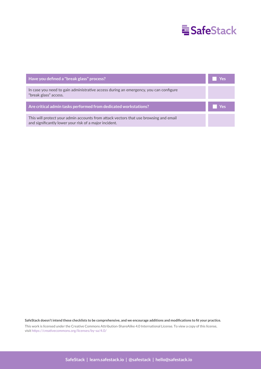## **E**SafeStack

| Have you defined a "break glass" process?                                                                                                       | Yes |
|-------------------------------------------------------------------------------------------------------------------------------------------------|-----|
| In case you need to gain administrative access during an emergency, you can configure<br>"break glass" access.                                  |     |
| Are critical admin tasks performed from dedicated workstations?                                                                                 | Yes |
| This will protect your admin accounts from attack vectors that use browsing and email<br>and significantly lower your risk of a major incident. |     |

**SafeStack doesn't intend these checklists to be comprehensive, and we encourage additions and modifications to fit your practice.**

This work is licensed under the Creative Commons Attribution-ShareAlike 4.0 International License. To view a copy of this license, visit https://creativecommons.org/licenses/by-sa/4.0/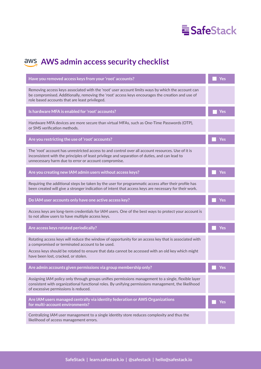

### **AWS admin access security checklist**

| Have you removed access keys from your 'root' accounts?                                                                                                                                                                                                     | Yes |
|-------------------------------------------------------------------------------------------------------------------------------------------------------------------------------------------------------------------------------------------------------------|-----|
| Removing access keys associated with the 'root' user account limits ways by which the account can<br>be compromised. Additionally, removing the 'root' access keys encourages the creation and use of<br>role based accounts that are least privileged.     |     |
| Is hardware MFA is enabled for 'root' accounts?                                                                                                                                                                                                             | Yes |
| Hardware MFA devices are more secure than virtual MFAs, such as One-Time Passwords (OTP),<br>or SMS verification methods.                                                                                                                                   |     |
| Are you restricting the use of 'root' accounts?                                                                                                                                                                                                             | Yes |
| The 'root' account has unrestricted access to and control over all account resources. Use of it is<br>inconsistent with the principles of least privilege and separation of duties, and can lead to<br>unnecessary harm due to error or account compromise. |     |
| Are you creating new IAM admin users without access keys?                                                                                                                                                                                                   | Yes |
| Requiring the additional steps be taken by the user for programmatic access after their profile has<br>been created will give a stronger indication of intent that access keys are necessary for their work.                                                |     |
| Do IAM user accounts only have one active access key?                                                                                                                                                                                                       | Yes |
| Access keys are long-term credentials for IAM users. One of the best ways to protect your account is<br>to not allow users to have multiple access keys.                                                                                                    |     |
| Are access keys rotated periodically?                                                                                                                                                                                                                       | Yes |
| Rotating access keys will reduce the window of opportunity for an access key that is associated with<br>a compromised or terminated account to be used.                                                                                                     |     |
| Access keys should be rotated to ensure that data cannot be accessed with an old key which might<br>have been lost, cracked, or stolen.                                                                                                                     |     |
| Are admin accounts given permissions via group membership only?                                                                                                                                                                                             | Yes |
| Assigning IAM policy only through groups unifies permissions management to a single, flexible layer<br>consistent with organizational functional roles. By unifying permissions management, the likelihood<br>of excessive permissions is reduced.          |     |
| Are IAM users managed centrally via identity federation or AWS Organizations<br>for multi-account environments?                                                                                                                                             | Yes |
| Centralizing IAM user management to a single identity store reduces complexity and thus the<br>likelihood of access management errors.                                                                                                                      |     |